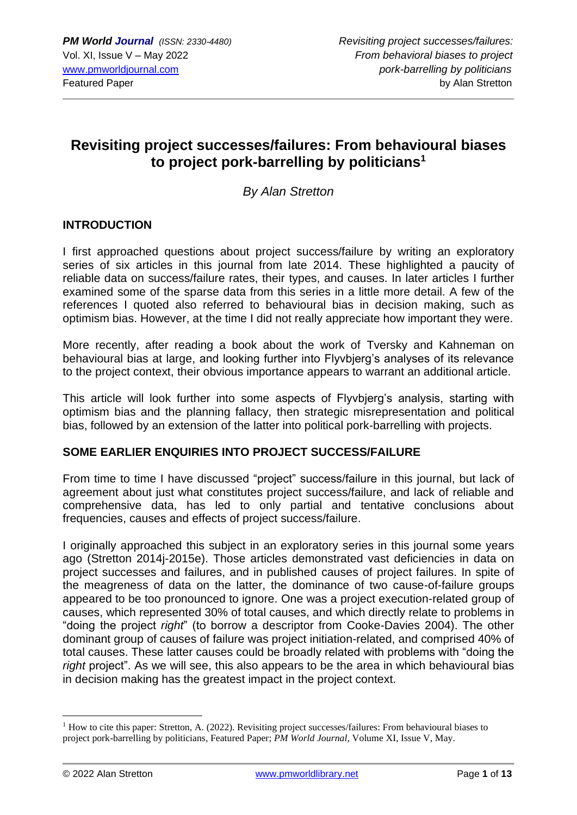# **Revisiting project successes/failures: From behavioural biases to project pork-barrelling by politicians<sup>1</sup>**

*By Alan Stretton*

# **INTRODUCTION**

I first approached questions about project success/failure by writing an exploratory series of six articles in this journal from late 2014. These highlighted a paucity of reliable data on success/failure rates, their types, and causes. In later articles I further examined some of the sparse data from this series in a little more detail. A few of the references I quoted also referred to behavioural bias in decision making, such as optimism bias. However, at the time I did not really appreciate how important they were.

More recently, after reading a book about the work of Tversky and Kahneman on behavioural bias at large, and looking further into Flyvbjerg's analyses of its relevance to the project context, their obvious importance appears to warrant an additional article.

This article will look further into some aspects of Flyvbjerg's analysis, starting with optimism bias and the planning fallacy, then strategic misrepresentation and political bias, followed by an extension of the latter into political pork-barrelling with projects.

# **SOME EARLIER ENQUIRIES INTO PROJECT SUCCESS/FAILURE**

From time to time I have discussed "project" success/failure in this journal, but lack of agreement about just what constitutes project success/failure, and lack of reliable and comprehensive data, has led to only partial and tentative conclusions about frequencies, causes and effects of project success/failure.

I originally approached this subject in an exploratory series in this journal some years ago (Stretton 2014j-2015e). Those articles demonstrated vast deficiencies in data on project successes and failures, and in published causes of project failures. In spite of the meagreness of data on the latter, the dominance of two cause-of-failure groups appeared to be too pronounced to ignore. One was a project execution-related group of causes, which represented 30% of total causes, and which directly relate to problems in "doing the project *right*" (to borrow a descriptor from Cooke-Davies 2004). The other dominant group of causes of failure was project initiation-related, and comprised 40% of total causes. These latter causes could be broadly related with problems with "doing the *right* project". As we will see, this also appears to be the area in which behavioural bias in decision making has the greatest impact in the project context.

 $<sup>1</sup>$  How to cite this paper: Stretton, A. (2022). Revisiting project successes/failures: From behavioural biases to</sup> project pork-barrelling by politicians, Featured Paper; *PM World Journal*, Volume XI, Issue V, May.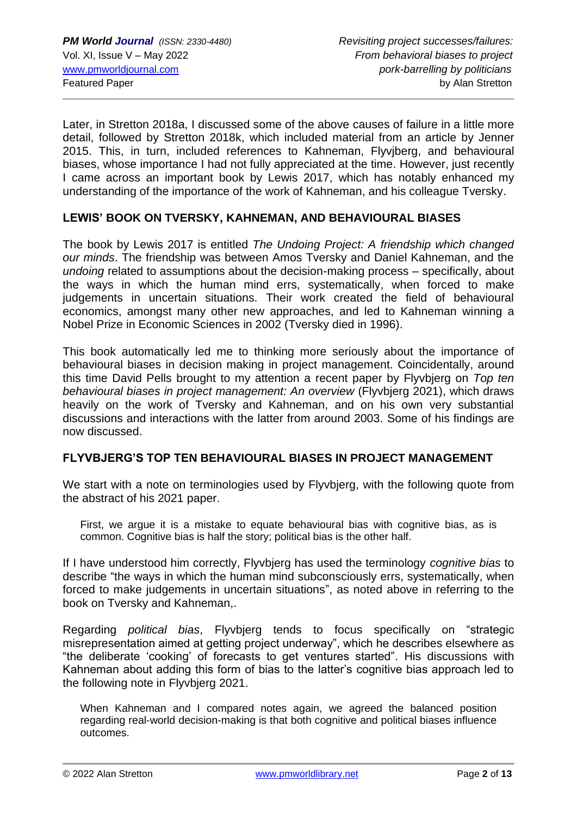Later, in Stretton 2018a, I discussed some of the above causes of failure in a little more detail, followed by Stretton 2018k, which included material from an article by Jenner 2015. This, in turn, included references to Kahneman, Flyvjberg, and behavioural biases, whose importance I had not fully appreciated at the time. However, just recently I came across an important book by Lewis 2017, which has notably enhanced my understanding of the importance of the work of Kahneman, and his colleague Tversky.

# **LEWIS' BOOK ON TVERSKY, KAHNEMAN, AND BEHAVIOURAL BIASES**

The book by Lewis 2017 is entitled *The Undoing Project: A friendship which changed our minds*. The friendship was between Amos Tversky and Daniel Kahneman, and the *undoing* related to assumptions about the decision-making process – specifically, about the ways in which the human mind errs, systematically, when forced to make judgements in uncertain situations. Their work created the field of behavioural economics, amongst many other new approaches, and led to Kahneman winning a Nobel Prize in Economic Sciences in 2002 (Tversky died in 1996).

This book automatically led me to thinking more seriously about the importance of behavioural biases in decision making in project management. Coincidentally, around this time David Pells brought to my attention a recent paper by Flyvbjerg on *Top ten behavioural biases in project management: An overview* (Flyvbjerg 2021), which draws heavily on the work of Tversky and Kahneman, and on his own very substantial discussions and interactions with the latter from around 2003. Some of his findings are now discussed.

# **FLYVBJERG'S TOP TEN BEHAVIOURAL BIASES IN PROJECT MANAGEMENT**

We start with a note on terminologies used by Flyvbierg, with the following quote from the abstract of his 2021 paper.

First, we argue it is a mistake to equate behavioural bias with cognitive bias, as is common. Cognitive bias is half the story; political bias is the other half.

If I have understood him correctly, Flyvbjerg has used the terminology *cognitive bias* to describe "the ways in which the human mind subconsciously errs, systematically, when forced to make judgements in uncertain situations", as noted above in referring to the book on Tversky and Kahneman,.

Regarding *political bias*, Flyvbjerg tends to focus specifically on "strategic misrepresentation aimed at getting project underway", which he describes elsewhere as "the deliberate 'cooking' of forecasts to get ventures started". His discussions with Kahneman about adding this form of bias to the latter's cognitive bias approach led to the following note in Flyvbjerg 2021.

When Kahneman and I compared notes again, we agreed the balanced position regarding real-world decision-making is that both cognitive and political biases influence outcomes.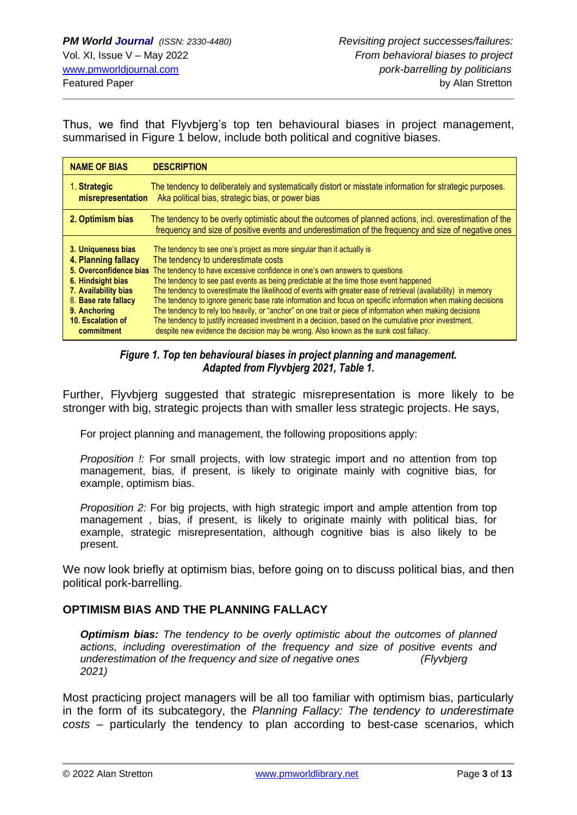Thus, we find that Flyvbjerg's top ten behavioural biases in project management, summarised in Figure 1 below, include both political and cognitive biases.

| <b>NAME OF BIAS</b>    | <b>DESCRIPTION</b>                                                                                                                                                                                              |
|------------------------|-----------------------------------------------------------------------------------------------------------------------------------------------------------------------------------------------------------------|
| 1. Strategic           | The tendency to deliberately and systematically distort or misstate information for strategic purposes.                                                                                                         |
| misrepresentation      | Aka political bias, strategic bias, or power bias                                                                                                                                                               |
| 2. Optimism bias       | The tendency to be overly optimistic about the outcomes of planned actions, incl. overestimation of the<br>frequency and size of positive events and underestimation of the frequency and size of negative ones |
| 3. Uniqueness bias     | The tendency to see one's project as more singular than it actually is                                                                                                                                          |
| 4. Planning fallacy    | The tendency to underestimate costs                                                                                                                                                                             |
| 5. Overconfidence bias | The tendency to have excessive confidence in one's own answers to questions                                                                                                                                     |
| 6. Hindsight bias      | The tendency to see past events as being predictable at the time those event happened                                                                                                                           |
| 7. Availability bias   | The tendency to overestimate the likelihood of events with greater ease of retrieval (availability) in memory                                                                                                   |
| 8. Base rate fallacy   | The tendency to ignore generic base rate information and focus on specific information when making decisions                                                                                                    |
| 9. Anchoring           | The tendency to rely too heavily, or "anchor" on one trait or piece of information when making decisions                                                                                                        |
| 10. Escalation of      | The tendency to justify increased investment in a decision, based on the cumulative prior investment.                                                                                                           |
| commitment             | despite new evidence the decision may be wrong. Also known as the sunk cost fallacy.                                                                                                                            |

## *Figure 1. Top ten behavioural biases in project planning and management. Adapted from Flyvbjerg 2021, Table 1.*

Further, Flyvbjerg suggested that strategic misrepresentation is more likely to be stronger with big, strategic projects than with smaller less strategic projects. He says,

For project planning and management, the following propositions apply:

*Proposition !:* For small projects, with low strategic import and no attention from top management, bias, if present, is likely to originate mainly with cognitive bias, for example, optimism bias.

*Proposition 2:* For big projects, with high strategic import and ample attention from top management , bias, if present, is likely to originate mainly with political bias, for example, strategic misrepresentation, although cognitive bias is also likely to be present.

We now look briefly at optimism bias, before going on to discuss political bias, and then political pork-barrelling.

# **OPTIMISM BIAS AND THE PLANNING FALLACY**

*Optimism bias: The tendency to be overly optimistic about the outcomes of planned actions, including overestimation of the frequency and size of positive events and underestimation of the frequency and size of negative ones (Flyvbjerg 2021)*

Most practicing project managers will be all too familiar with optimism bias, particularly in the form of its subcategory, the *Planning Fallacy: The tendency to underestimate costs –* particularly the tendency to plan according to best-case scenarios, which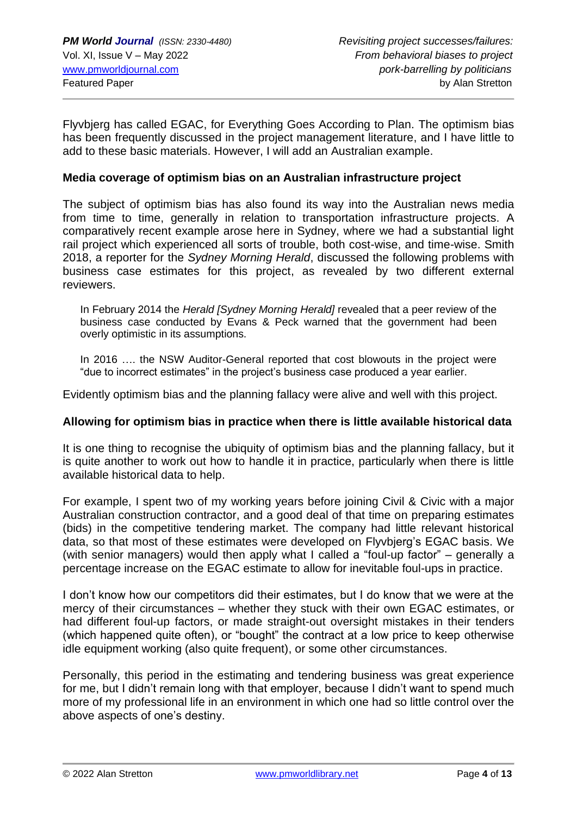Flyvbjerg has called EGAC, for Everything Goes According to Plan. The optimism bias has been frequently discussed in the project management literature, and I have little to add to these basic materials. However, I will add an Australian example.

## **Media coverage of optimism bias on an Australian infrastructure project**

The subject of optimism bias has also found its way into the Australian news media from time to time, generally in relation to transportation infrastructure projects. A comparatively recent example arose here in Sydney, where we had a substantial light rail project which experienced all sorts of trouble, both cost-wise, and time-wise. Smith 2018, a reporter for the *Sydney Morning Herald*, discussed the following problems with business case estimates for this project, as revealed by two different external reviewers.

In February 2014 the *Herald [Sydney Morning Herald]* revealed that a peer review of the business case conducted by Evans & Peck warned that the government had been overly optimistic in its assumptions.

In 2016 …. the NSW Auditor-General reported that cost blowouts in the project were "due to incorrect estimates" in the project's business case produced a year earlier.

Evidently optimism bias and the planning fallacy were alive and well with this project.

#### **Allowing for optimism bias in practice when there is little available historical data**

It is one thing to recognise the ubiquity of optimism bias and the planning fallacy, but it is quite another to work out how to handle it in practice, particularly when there is little available historical data to help.

For example, I spent two of my working years before joining Civil & Civic with a major Australian construction contractor, and a good deal of that time on preparing estimates (bids) in the competitive tendering market. The company had little relevant historical data, so that most of these estimates were developed on Flyvbjerg's EGAC basis. We (with senior managers) would then apply what I called a "foul-up factor" – generally a percentage increase on the EGAC estimate to allow for inevitable foul-ups in practice.

I don't know how our competitors did their estimates, but I do know that we were at the mercy of their circumstances – whether they stuck with their own EGAC estimates, or had different foul-up factors, or made straight-out oversight mistakes in their tenders (which happened quite often), or "bought" the contract at a low price to keep otherwise idle equipment working (also quite frequent), or some other circumstances.

Personally, this period in the estimating and tendering business was great experience for me, but I didn't remain long with that employer, because I didn't want to spend much more of my professional life in an environment in which one had so little control over the above aspects of one's destiny.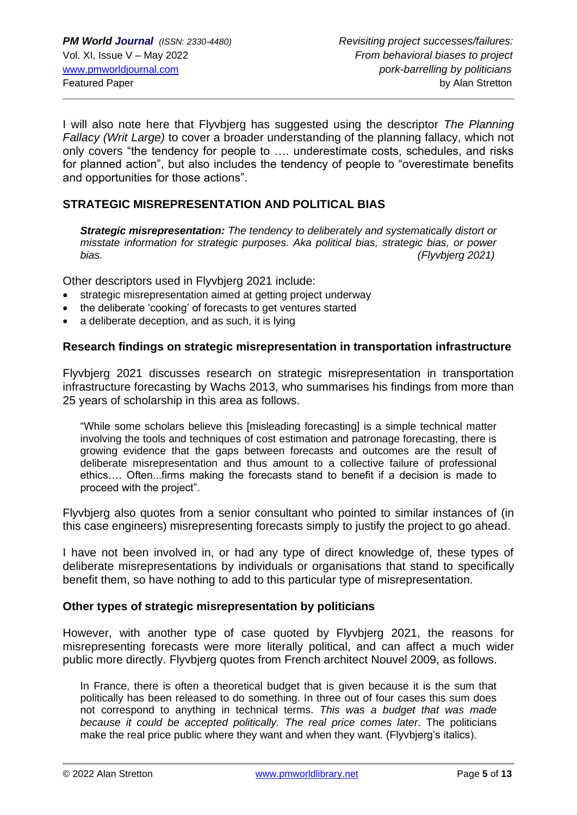I will also note here that Flyvbjerg has suggested using the descriptor *The Planning Fallacy (Writ Large)* to cover a broader understanding of the planning fallacy, which not only covers "the tendency for people to …. underestimate costs, schedules, and risks for planned action", but also includes the tendency of people to "overestimate benefits and opportunities for those actions".

# **STRATEGIC MISREPRESENTATION AND POLITICAL BIAS**

*Strategic misrepresentation: The tendency to deliberately and systematically distort or misstate information for strategic purposes. Aka political bias, strategic bias, or power bias. (Flyvbjerg 2021)*

Other descriptors used in Flyvbjerg 2021 include:

- strategic misrepresentation aimed at getting project underway
- the deliberate 'cooking' of forecasts to get ventures started
- a deliberate deception, and as such, it is lying

## **Research findings on strategic misrepresentation in transportation infrastructure**

Flyvbjerg 2021 discusses research on strategic misrepresentation in transportation infrastructure forecasting by Wachs 2013, who summarises his findings from more than 25 years of scholarship in this area as follows.

"While some scholars believe this [misleading forecasting] is a simple technical matter involving the tools and techniques of cost estimation and patronage forecasting, there is growing evidence that the gaps between forecasts and outcomes are the result of deliberate misrepresentation and thus amount to a collective failure of professional ethics…. Often...firms making the forecasts stand to benefit if a decision is made to proceed with the project".

Flyvbjerg also quotes from a senior consultant who pointed to similar instances of (in this case engineers) misrepresenting forecasts simply to justify the project to go ahead.

I have not been involved in, or had any type of direct knowledge of, these types of deliberate misrepresentations by individuals or organisations that stand to specifically benefit them, so have nothing to add to this particular type of misrepresentation.

# **Other types of strategic misrepresentation by politicians**

However, with another type of case quoted by Flyvbjerg 2021, the reasons for misrepresenting forecasts were more literally political, and can affect a much wider public more directly. Flyvbjerg quotes from French architect Nouvel 2009, as follows.

In France, there is often a theoretical budget that is given because it is the sum that politically has been released to do something. In three out of four cases this sum does not correspond to anything in technical terms. *This was a budget that was made because it could be accepted politically. The real price comes later*. The politicians make the real price public where they want and when they want. (Flyvbjerg's italics).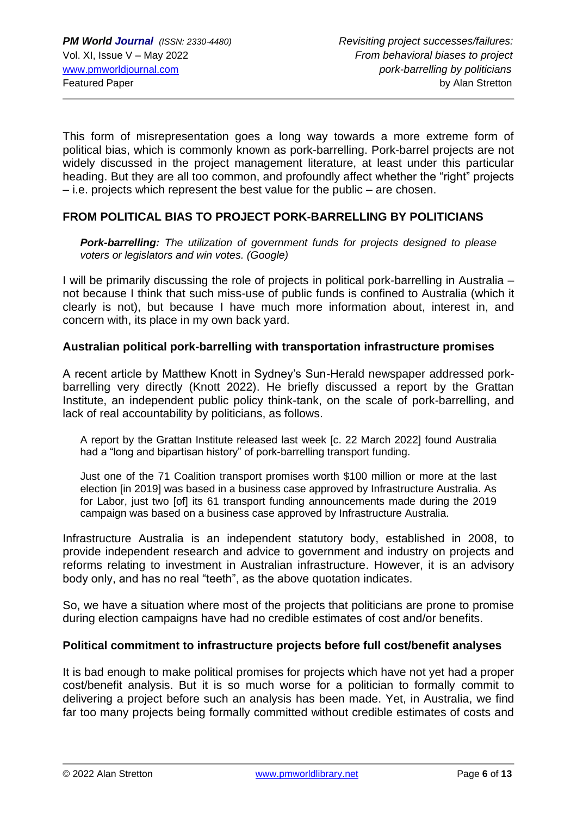This form of misrepresentation goes a long way towards a more extreme form of political bias, which is commonly known as pork-barrelling. Pork-barrel projects are not widely discussed in the project management literature, at least under this particular heading. But they are all too common, and profoundly affect whether the "right" projects – i.e. projects which represent the best value for the public – are chosen.

# **FROM POLITICAL BIAS TO PROJECT PORK-BARRELLING BY POLITICIANS**

*Pork-barrelling: The utilization of government funds for projects designed to please voters or legislators and win votes. (Google)*

I will be primarily discussing the role of projects in political pork-barrelling in Australia – not because I think that such miss-use of public funds is confined to Australia (which it clearly is not), but because I have much more information about, interest in, and concern with, its place in my own back yard.

## **Australian political pork-barrelling with transportation infrastructure promises**

A recent article by Matthew Knott in Sydney's Sun-Herald newspaper addressed porkbarrelling very directly (Knott 2022). He briefly discussed a report by the Grattan Institute, an independent public policy think-tank, on the scale of pork-barrelling, and lack of real accountability by politicians, as follows.

A report by the Grattan Institute released last week [c. 22 March 2022] found Australia had a "long and bipartisan history" of pork-barrelling transport funding.

Just one of the 71 Coalition transport promises worth \$100 million or more at the last election [in 2019] was based in a business case approved by Infrastructure Australia. As for Labor, just two [of] its 61 transport funding announcements made during the 2019 campaign was based on a business case approved by Infrastructure Australia.

Infrastructure Australia is an independent statutory body, established in 2008, to provide independent research and advice to government and industry on projects and reforms relating to investment in Australian infrastructure. However, it is an advisory body only, and has no real "teeth", as the above quotation indicates.

So, we have a situation where most of the projects that politicians are prone to promise during election campaigns have had no credible estimates of cost and/or benefits.

#### **Political commitment to infrastructure projects before full cost/benefit analyses**

It is bad enough to make political promises for projects which have not yet had a proper cost/benefit analysis. But it is so much worse for a politician to formally commit to delivering a project before such an analysis has been made. Yet, in Australia, we find far too many projects being formally committed without credible estimates of costs and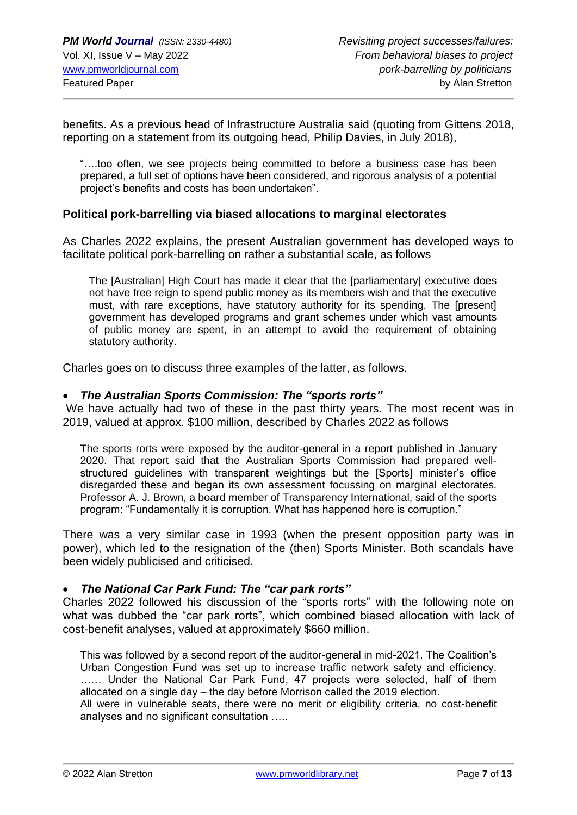benefits. As a previous head of Infrastructure Australia said (quoting from Gittens 2018, reporting on a statement from its outgoing head, Philip Davies, in July 2018),

"….too often, we see projects being committed to before a business case has been prepared, a full set of options have been considered, and rigorous analysis of a potential project's benefits and costs has been undertaken".

#### **Political pork-barrelling via biased allocations to marginal electorates**

As Charles 2022 explains, the present Australian government has developed ways to facilitate political pork-barrelling on rather a substantial scale, as follows

The [Australian] High Court has made it clear that the [parliamentary] executive does not have free reign to spend public money as its members wish and that the executive must, with rare exceptions, have statutory authority for its spending. The [present] government has developed programs and grant schemes under which vast amounts of public money are spent, in an attempt to avoid the requirement of obtaining statutory authority.

Charles goes on to discuss three examples of the latter, as follows.

#### • *The Australian Sports Commission: The "sports rorts"*

We have actually had two of these in the past thirty years. The most recent was in 2019, valued at approx. \$100 million, described by Charles 2022 as follows

The sports rorts were exposed by the auditor-general in a report published in January 2020. That report said that the Australian Sports Commission had prepared wellstructured guidelines with transparent weightings but the [Sports] minister's office disregarded these and began its own assessment focussing on marginal electorates. Professor A. J. Brown, a board member of Transparency International, said of the sports program: "Fundamentally it is corruption. What has happened here is corruption."

There was a very similar case in 1993 (when the present opposition party was in power), which led to the resignation of the (then) Sports Minister. Both scandals have been widely publicised and criticised.

#### • *The National Car Park Fund: The "car park rorts"*

Charles 2022 followed his discussion of the "sports rorts" with the following note on what was dubbed the "car park rorts", which combined biased allocation with lack of cost-benefit analyses, valued at approximately \$660 million.

This was followed by a second report of the auditor-general in mid-2021. The Coalition's Urban Congestion Fund was set up to increase traffic network safety and efficiency. …… Under the National Car Park Fund, 47 projects were selected, half of them allocated on a single day – the day before Morrison called the 2019 election.

All were in vulnerable seats, there were no merit or eligibility criteria, no cost-benefit analyses and no significant consultation …..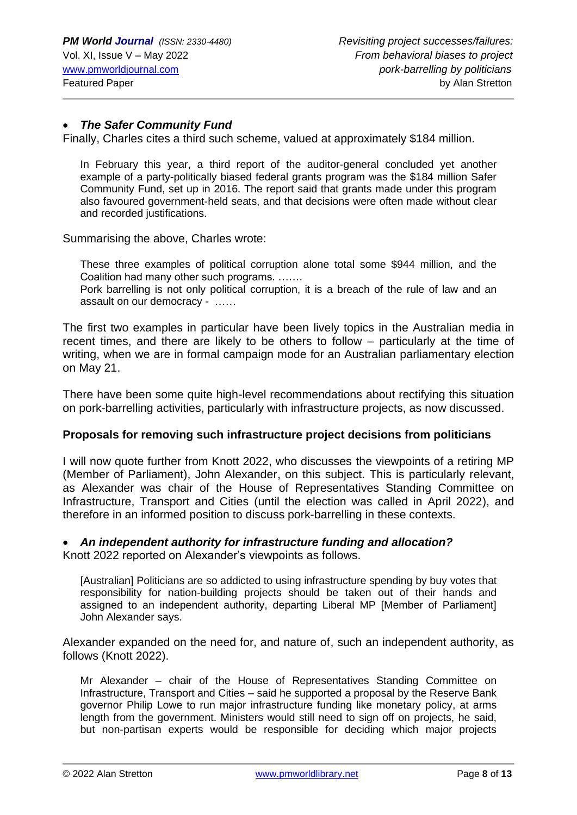## • *The Safer Community Fund*

Finally, Charles cites a third such scheme, valued at approximately \$184 million.

In February this year, a third report of the auditor-general concluded yet another example of a party-politically biased federal grants program was the \$184 million Safer Community Fund, set up in 2016. The report said that grants made under this program also favoured government-held seats, and that decisions were often made without clear and recorded justifications.

Summarising the above, Charles wrote:

These three examples of political corruption alone total some \$944 million, and the Coalition had many other such programs. …….

Pork barrelling is not only political corruption, it is a breach of the rule of law and an assault on our democracy - ……

The first two examples in particular have been lively topics in the Australian media in recent times, and there are likely to be others to follow – particularly at the time of writing, when we are in formal campaign mode for an Australian parliamentary election on May 21.

There have been some quite high-level recommendations about rectifying this situation on pork-barrelling activities, particularly with infrastructure projects, as now discussed.

#### **Proposals for removing such infrastructure project decisions from politicians**

I will now quote further from Knott 2022, who discusses the viewpoints of a retiring MP (Member of Parliament), John Alexander, on this subject. This is particularly relevant, as Alexander was chair of the House of Representatives Standing Committee on Infrastructure, Transport and Cities (until the election was called in April 2022), and therefore in an informed position to discuss pork-barrelling in these contexts.

#### • *An independent authority for infrastructure funding and allocation?*

Knott 2022 reported on Alexander's viewpoints as follows.

[Australian] Politicians are so addicted to using infrastructure spending by buy votes that responsibility for nation-building projects should be taken out of their hands and assigned to an independent authority, departing Liberal MP [Member of Parliament] John Alexander says.

Alexander expanded on the need for, and nature of, such an independent authority, as follows (Knott 2022).

Mr Alexander – chair of the House of Representatives Standing Committee on Infrastructure, Transport and Cities – said he supported a proposal by the Reserve Bank governor Philip Lowe to run major infrastructure funding like monetary policy, at arms length from the government. Ministers would still need to sign off on projects, he said, but non-partisan experts would be responsible for deciding which major projects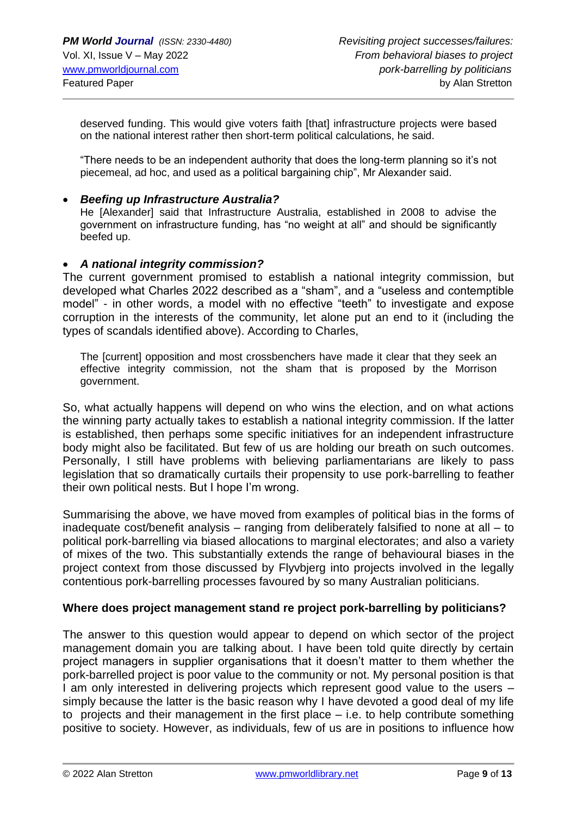deserved funding. This would give voters faith [that] infrastructure projects were based on the national interest rather then short-term political calculations, he said.

"There needs to be an independent authority that does the long-term planning so it's not piecemeal, ad hoc, and used as a political bargaining chip", Mr Alexander said.

## • *Beefing up Infrastructure Australia?*

He [Alexander] said that Infrastructure Australia, established in 2008 to advise the government on infrastructure funding, has "no weight at all" and should be significantly beefed up.

## • *A national integrity commission?*

The current government promised to establish a national integrity commission, but developed what Charles 2022 described as a "sham", and a "useless and contemptible model" - in other words, a model with no effective "teeth" to investigate and expose corruption in the interests of the community, let alone put an end to it (including the types of scandals identified above). According to Charles,

The [current] opposition and most crossbenchers have made it clear that they seek an effective integrity commission, not the sham that is proposed by the Morrison government.

So, what actually happens will depend on who wins the election, and on what actions the winning party actually takes to establish a national integrity commission. If the latter is established, then perhaps some specific initiatives for an independent infrastructure body might also be facilitated. But few of us are holding our breath on such outcomes. Personally, I still have problems with believing parliamentarians are likely to pass legislation that so dramatically curtails their propensity to use pork-barrelling to feather their own political nests. But I hope I'm wrong.

Summarising the above, we have moved from examples of political bias in the forms of inadequate cost/benefit analysis – ranging from deliberately falsified to none at all – to political pork-barrelling via biased allocations to marginal electorates; and also a variety of mixes of the two. This substantially extends the range of behavioural biases in the project context from those discussed by Flyvbjerg into projects involved in the legally contentious pork-barrelling processes favoured by so many Australian politicians.

#### **Where does project management stand re project pork-barrelling by politicians?**

The answer to this question would appear to depend on which sector of the project management domain you are talking about. I have been told quite directly by certain project managers in supplier organisations that it doesn't matter to them whether the pork-barrelled project is poor value to the community or not. My personal position is that I am only interested in delivering projects which represent good value to the users – simply because the latter is the basic reason why I have devoted a good deal of my life to projects and their management in the first place – i.e. to help contribute something positive to society. However, as individuals, few of us are in positions to influence how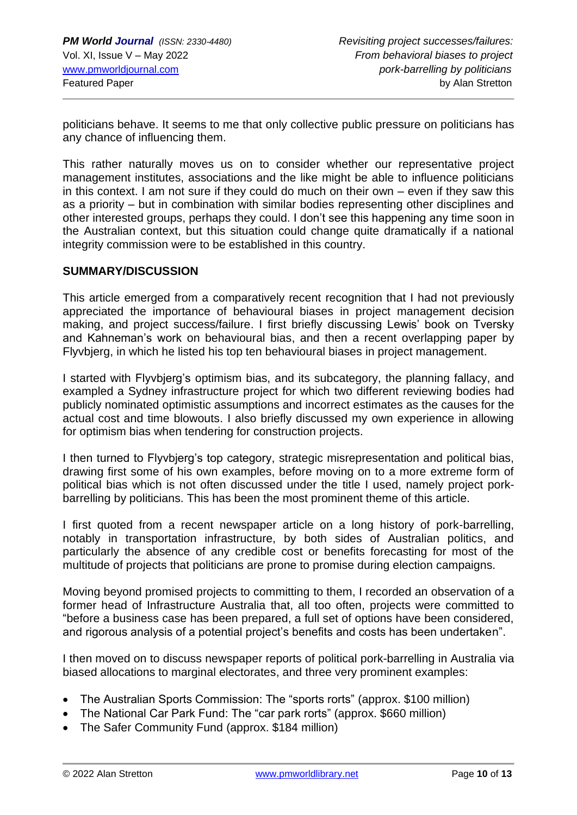politicians behave. It seems to me that only collective public pressure on politicians has any chance of influencing them.

This rather naturally moves us on to consider whether our representative project management institutes, associations and the like might be able to influence politicians in this context. I am not sure if they could do much on their own – even if they saw this as a priority – but in combination with similar bodies representing other disciplines and other interested groups, perhaps they could. I don't see this happening any time soon in the Australian context, but this situation could change quite dramatically if a national integrity commission were to be established in this country.

# **SUMMARY/DISCUSSION**

This article emerged from a comparatively recent recognition that I had not previously appreciated the importance of behavioural biases in project management decision making, and project success/failure. I first briefly discussing Lewis' book on Tversky and Kahneman's work on behavioural bias, and then a recent overlapping paper by Flyvbjerg, in which he listed his top ten behavioural biases in project management.

I started with Flyvbjerg's optimism bias, and its subcategory, the planning fallacy, and exampled a Sydney infrastructure project for which two different reviewing bodies had publicly nominated optimistic assumptions and incorrect estimates as the causes for the actual cost and time blowouts. I also briefly discussed my own experience in allowing for optimism bias when tendering for construction projects.

I then turned to Flyvbjerg's top category, strategic misrepresentation and political bias, drawing first some of his own examples, before moving on to a more extreme form of political bias which is not often discussed under the title I used, namely project porkbarrelling by politicians. This has been the most prominent theme of this article.

I first quoted from a recent newspaper article on a long history of pork-barrelling, notably in transportation infrastructure, by both sides of Australian politics, and particularly the absence of any credible cost or benefits forecasting for most of the multitude of projects that politicians are prone to promise during election campaigns.

Moving beyond promised projects to committing to them, I recorded an observation of a former head of Infrastructure Australia that, all too often, projects were committed to "before a business case has been prepared, a full set of options have been considered, and rigorous analysis of a potential project's benefits and costs has been undertaken".

I then moved on to discuss newspaper reports of political pork-barrelling in Australia via biased allocations to marginal electorates, and three very prominent examples:

- The Australian Sports Commission: The "sports rorts" (approx. \$100 million)
- The National Car Park Fund: The "car park rorts" (approx. \$660 million)
- The Safer Community Fund (approx, \$184 million)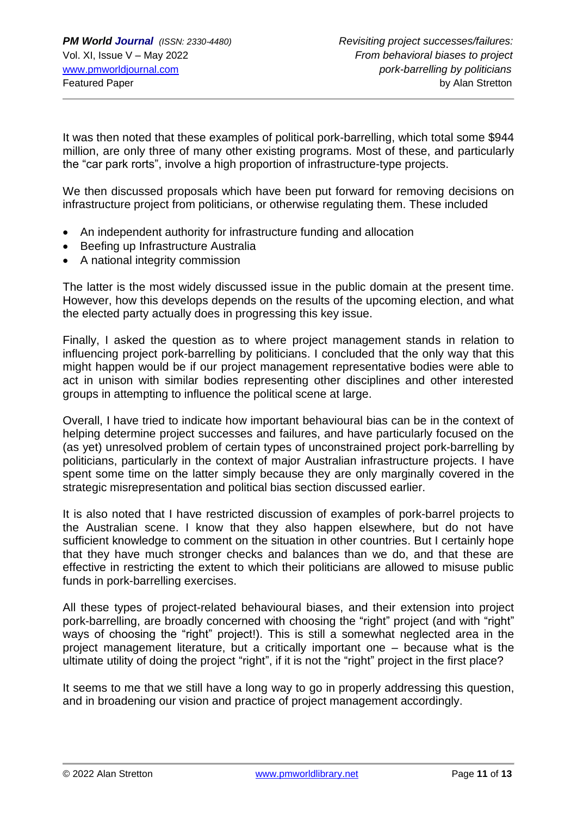It was then noted that these examples of political pork-barrelling, which total some \$944 million, are only three of many other existing programs. Most of these, and particularly the "car park rorts", involve a high proportion of infrastructure-type projects.

We then discussed proposals which have been put forward for removing decisions on infrastructure project from politicians, or otherwise regulating them. These included

- An independent authority for infrastructure funding and allocation
- Beefing up Infrastructure Australia
- A national integrity commission

The latter is the most widely discussed issue in the public domain at the present time. However, how this develops depends on the results of the upcoming election, and what the elected party actually does in progressing this key issue.

Finally, I asked the question as to where project management stands in relation to influencing project pork-barrelling by politicians. I concluded that the only way that this might happen would be if our project management representative bodies were able to act in unison with similar bodies representing other disciplines and other interested groups in attempting to influence the political scene at large.

Overall, I have tried to indicate how important behavioural bias can be in the context of helping determine project successes and failures, and have particularly focused on the (as yet) unresolved problem of certain types of unconstrained project pork-barrelling by politicians, particularly in the context of major Australian infrastructure projects. I have spent some time on the latter simply because they are only marginally covered in the strategic misrepresentation and political bias section discussed earlier.

It is also noted that I have restricted discussion of examples of pork-barrel projects to the Australian scene. I know that they also happen elsewhere, but do not have sufficient knowledge to comment on the situation in other countries. But I certainly hope that they have much stronger checks and balances than we do, and that these are effective in restricting the extent to which their politicians are allowed to misuse public funds in pork-barrelling exercises.

All these types of project-related behavioural biases, and their extension into project pork-barrelling, are broadly concerned with choosing the "right" project (and with "right" ways of choosing the "right" project!). This is still a somewhat neglected area in the project management literature, but a critically important one – because what is the ultimate utility of doing the project "right", if it is not the "right" project in the first place?

It seems to me that we still have a long way to go in properly addressing this question, and in broadening our vision and practice of project management accordingly.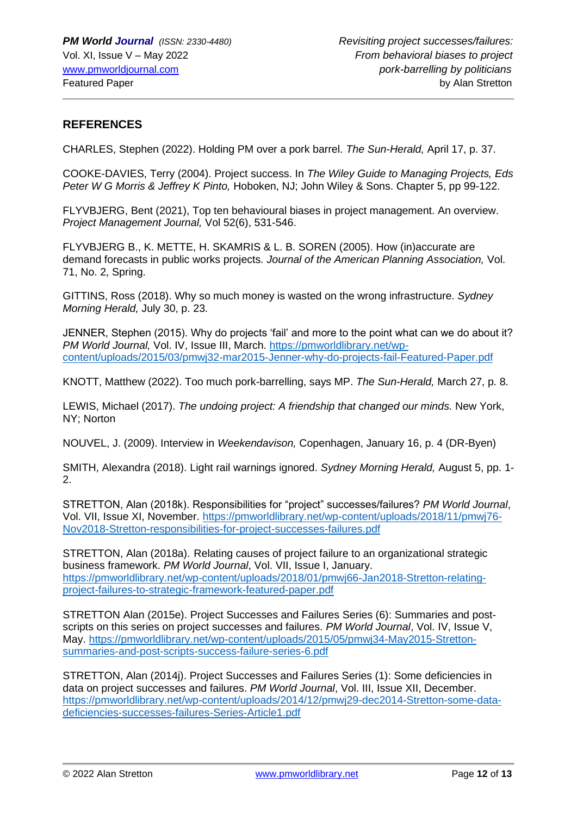# **REFERENCES**

CHARLES, Stephen (2022). Holding PM over a pork barrel. *The Sun-Herald,* April 17, p. 37.

COOKE-DAVIES, Terry (2004). Project success. In *The Wiley Guide to Managing Projects, Eds Peter W G Morris & Jeffrey K Pinto,* Hoboken, NJ; John Wiley & Sons. Chapter 5, pp 99-122.

FLYVBJERG, Bent (2021), Top ten behavioural biases in project management. An overview. *Project Management Journal,* Vol 52(6), 531-546.

FLYVBJERG B., K. METTE, H. SKAMRIS & L. B. SOREN (2005). How (in)accurate are demand forecasts in public works projects. *Journal of the American Planning Association,* Vol. 71, No. 2, Spring.

GITTINS, Ross (2018). Why so much money is wasted on the wrong infrastructure. *Sydney Morning Herald,* July 30, p. 23.

JENNER, Stephen (2015). Why do projects 'fail' and more to the point what can we do about it? *PM World Journal,* Vol. IV, Issue III, March. [https://pmworldlibrary.net/wp](https://pmworldlibrary.net/wp-content/uploads/2015/03/pmwj32-mar2015-Jenner-why-do-projects-fail-Featured-Paper.pdf)[content/uploads/2015/03/pmwj32-mar2015-Jenner-why-do-projects-fail-Featured-Paper.pdf](https://pmworldlibrary.net/wp-content/uploads/2015/03/pmwj32-mar2015-Jenner-why-do-projects-fail-Featured-Paper.pdf)

KNOTT, Matthew (2022). Too much pork-barrelling, says MP. *The Sun-Herald,* March 27, p. 8.

LEWIS, Michael (2017). *The undoing project: A friendship that changed our minds.* New York, NY; Norton

NOUVEL, J. (2009). Interview in *Weekendavison,* Copenhagen, January 16, p. 4 (DR-Byen)

SMITH, Alexandra (2018). Light rail warnings ignored. *Sydney Morning Herald,* August 5, pp. 1- 2.

STRETTON, Alan (2018k). Responsibilities for "project" successes/failures? *PM World Journal*, Vol. VII, Issue XI, November. [https://pmworldlibrary.net/wp-content/uploads/2018/11/pmwj76-](https://pmworldlibrary.net/wp-content/uploads/2018/11/pmwj76-Nov2018-Stretton-responsibilities-for-project-successes-failures.pdf) [Nov2018-Stretton-responsibilities-for-project-successes-failures.pdf](https://pmworldlibrary.net/wp-content/uploads/2018/11/pmwj76-Nov2018-Stretton-responsibilities-for-project-successes-failures.pdf)

STRETTON, Alan (2018a). Relating causes of project failure to an organizational strategic business framework. *PM World Journal*, Vol. VII, Issue I, January. [https://pmworldlibrary.net/wp-content/uploads/2018/01/pmwj66-Jan2018-Stretton-relating](https://pmworldlibrary.net/wp-content/uploads/2018/01/pmwj66-Jan2018-Stretton-relating-project-failures-to-strategic-framework-featured-paper.pdf)[project-failures-to-strategic-framework-featured-paper.pdf](https://pmworldlibrary.net/wp-content/uploads/2018/01/pmwj66-Jan2018-Stretton-relating-project-failures-to-strategic-framework-featured-paper.pdf)

STRETTON Alan (2015e). Project Successes and Failures Series (6): Summaries and postscripts on this series on project successes and failures. *PM World Journal*, Vol. IV, Issue V, May. [https://pmworldlibrary.net/wp-content/uploads/2015/05/pmwj34-May2015-Stretton](https://pmworldlibrary.net/wp-content/uploads/2015/05/pmwj34-May2015-Stretton-summaries-and-post-scripts-success-failure-series-6.pdf)[summaries-and-post-scripts-success-failure-series-6.pdf](https://pmworldlibrary.net/wp-content/uploads/2015/05/pmwj34-May2015-Stretton-summaries-and-post-scripts-success-failure-series-6.pdf)

STRETTON, Alan (2014j). Project Successes and Failures Series (1): Some deficiencies in data on project successes and failures. *PM World Journal*, Vol. III, Issue XII, December. [https://pmworldlibrary.net/wp-content/uploads/2014/12/pmwj29-dec2014-Stretton-some-data](https://pmworldlibrary.net/wp-content/uploads/2014/12/pmwj29-dec2014-Stretton-some-data-deficiencies-successes-failures-Series-Article1.pdf)[deficiencies-successes-failures-Series-Article1.pdf](https://pmworldlibrary.net/wp-content/uploads/2014/12/pmwj29-dec2014-Stretton-some-data-deficiencies-successes-failures-Series-Article1.pdf)